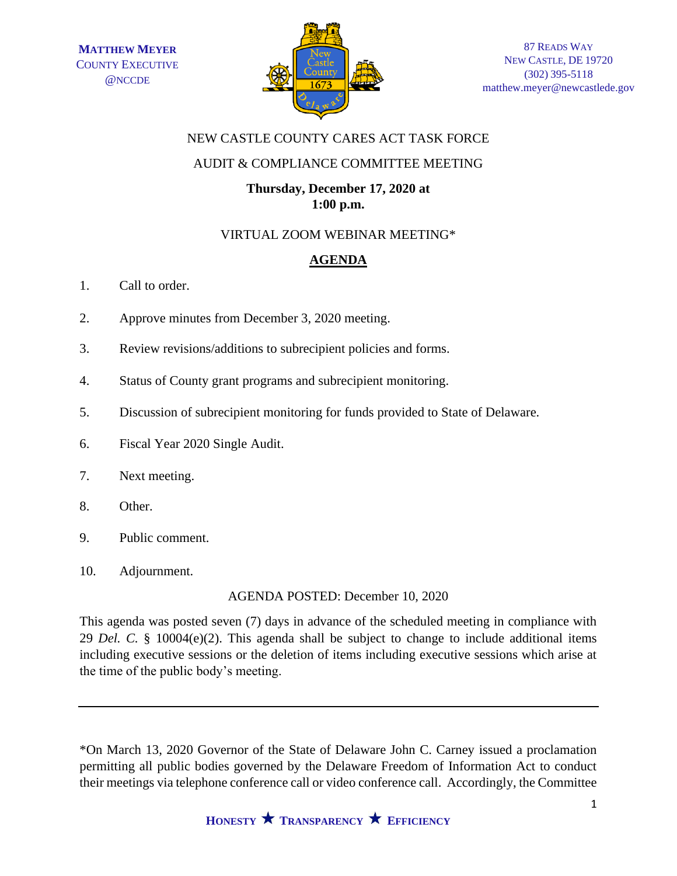

## NEW CASTLE COUNTY CARES ACT TASK FORCE

## AUDIT & COMPLIANCE COMMITTEE MEETING

## **Thursday, December 17, 2020 at 1:00 p.m.**

### VIRTUAL ZOOM WEBINAR MEETING\*

# **AGENDA**

- 1. Call to order.
- 2. Approve minutes from December 3, 2020 meeting.
- 3. Review revisions/additions to subrecipient policies and forms.
- 4. Status of County grant programs and subrecipient monitoring.
- 5. Discussion of subrecipient monitoring for funds provided to State of Delaware.
- 6. Fiscal Year 2020 Single Audit.
- 7. Next meeting.
- 8. Other.
- 9. Public comment.
- 10. Adjournment.

AGENDA POSTED: December 10, 2020

This agenda was posted seven (7) days in advance of the scheduled meeting in compliance with 29 *Del. C.* § 10004(e)(2). This agenda shall be subject to change to include additional items including executive sessions or the deletion of items including executive sessions which arise at the time of the public body's meeting.

\*On March 13, 2020 Governor of the State of Delaware John C. Carney issued a proclamation permitting all public bodies governed by the Delaware Freedom of Information Act to conduct their meetings via telephone conference call or video conference call. Accordingly, the Committee